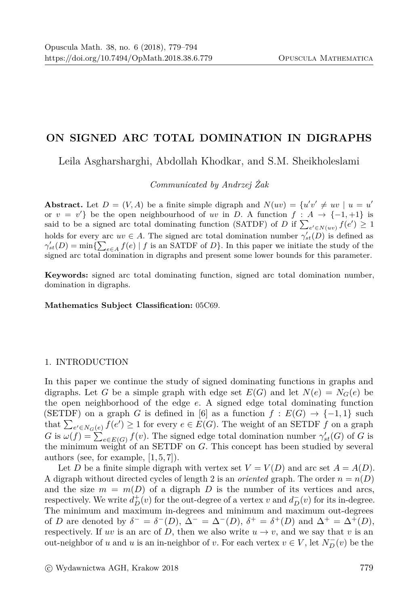# ON SIGNED ARC TOTAL DOMINATION IN DIGRAPHS

Leila Asgharsharghi, Abdollah Khodkar, and S.M. Sheikholeslami

Communicated by Andrzej Żak

**Abstract.** Let  $D = (V, A)$  be a finite simple digraph and  $N(uv) = \{u'v' \neq uv \mid u = u'\}$ or  $v = v'$  be the open neighbourhood of uv in D. A function  $f : A \rightarrow \{-1, +1\}$  is said to be a signed arc total dominating function (SATDF) of D if  $\sum_{e' \in N(uv)} f(e') \geq 1$ holds for every arc  $uv \in A$ . The signed arc total domination number  $\gamma'_{st}(D)$  is defined as  $\gamma'_{st}(D) = \min\{\sum_{e \in A} f(e) | f$  is an SATDF of D}. In this paper we initiate the study of the signed arc total domination in digraphs and present some lower bounds for this parameter.

Keywords: signed arc total dominating function, signed arc total domination number, domination in digraphs.

Mathematics Subject Classification: 05C69.

## 1. INTRODUCTION

In this paper we continue the study of signed dominating functions in graphs and digraphs. Let G be a simple graph with edge set  $E(G)$  and let  $N(e) = N_G(e)$  be the open neighborhood of the edge  $e$ . A signed edge total dominating function (SETDF) on a graph G is defined in [6] as a function  $f: E(G) \to \{-1,1\}$  such that  $\sum_{e' \in N_G(e)} f(e') \ge 1$  for every  $e \in E(G)$ . The weight of an SETDF f on a graph G is  $\omega(f) = \sum_{e \in E(G)} f(v)$ . The signed edge total domination number  $\gamma'_{st}(G)$  of G is the minimum weight of an SETDF on  $G$ . This concept has been studied by several authors (see, for example,  $[1,5,7]$ ).

Let D be a finite simple digraph with vertex set  $V = V(D)$  and arc set  $A = A(D)$ . A digraph without directed cycles of length 2 is an *oriented* graph. The order  $n = n(D)$ and the size  $m = m(D)$  of a digraph D is the number of its vertices and arcs, respectively. We write  $d_D^+(v)$  for the out-degree of a vertex v and  $d_D^-(v)$  for its in-degree. The minimum and maximum in-degrees and minimum and maximum out-degrees of D are denoted by  $\delta^- = \delta^-(D)$ ,  $\Delta^- = \Delta^-(D)$ ,  $\delta^+ = \delta^+(D)$  and  $\Delta^+ = \Delta^+(D)$ , respectively. If uv is an arc of D, then we also write  $u \to v$ , and we say that v is an out-neighbor of u and u is an in-neighbor of v. For each vertex  $v \in V$ , let  $N_{D}^{-}(v)$  be the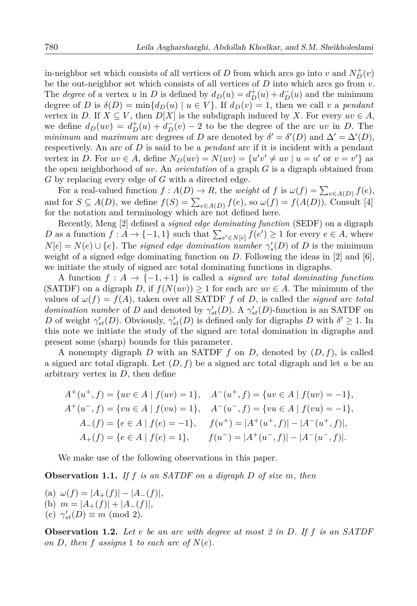in-neighbor set which consists of all vertices of D from which arcs go into v and  $N_D^+(v)$ be the out-neighbor set which consists of all vertices of  $D$  into which arcs go from  $v$ . The *degree* of a vertex u in D is defined by  $d_D(u) = d_D^+(u) + d_D^-(u)$  and the minimum degree of D is  $\delta(D) = \min\{d_D(u) \mid u \in V\}$ . If  $d_D(v) = 1$ , then we call v a pendant vertex in D. If  $X \subseteq V$ , then  $D[X]$  is the subdigraph induced by X. For every  $uv \in A$ , we define  $d_D(uv) = d_D^+(u) + d_D^-(v) - 2$  to be the degree of the arc uv in D. The minimum and maximum arc degrees of D are denoted by  $\delta' = \delta'(D)$  and  $\Delta' = \Delta'(D)$ , respectively. An arc of  $D$  is said to be a *pendant* arc if it is incident with a pendant vertex in D. For  $uv \in A$ , define  $N_D(uv) = N(uv) = \{u'v' \ne uv \mid u = u' \text{ or } v = v'\}$  as the open neighborhood of uv. An *orientation* of a graph  $G$  is a digraph obtained from  $G$  by replacing every edge of  $G$  with a directed edge.

For a real-valued function  $f: A(D) \to R$ , the weight of f is  $\omega(f) = \sum_{e \in A(D)} f(e)$ , and for  $S \subseteq A(D)$ , we define  $f(S) = \sum_{e \in A(D)} f(e)$ , so  $\omega(f) = f(A(D))$ . Consult [4] for the notation and terminology which are not defined here.

Recently, Meng [2] defined a *signed edge dominating function* (SEDF) on a digraph D as a function  $f: A \to \{-1,1\}$  such that  $\sum_{e' \in N[e]} f(e') \geq 1$  for every  $e \in A$ , where  $N[e] = N(e) \cup \{e\}$ . The signed edge domination number  $\gamma'_{s}(D)$  of D is the minimum weight of a signed edge dominating function on  $D$ . Following the ideas in [2] and [6], we initiate the study of signed arc total dominating functions in digraphs.

A function  $f: A \to \{-1, +1\}$  is called a *signed arc total dominating function* (SATDF) on a digraph D, if  $f(N(uv)) \ge 1$  for each arc  $uv \in A$ . The minimum of the values of  $\omega(f) = f(A)$ , taken over all SATDF f of D, is called the *signed arc total domination number* of D and denoted by  $\gamma'_{st}(D)$ . A  $\gamma'_{st}(D)$ -function is an SATDF on D of weight  $\gamma'_{st}(D)$ . Obviously,  $\gamma'_{st}(D)$  is defined only for digraphs D with  $\delta' \geq 1$ . In this note we initiate the study of the signed arc total domination in digraphs and present some (sharp) bounds for this parameter.

A nonempty digraph D with an SATDF f on D, denoted by  $(D, f)$ , is called a signed arc total digraph. Let  $(D, f)$  be a signed arc total digraph and let u be an arbitrary vertex in  $D$ , then define

$$
A^+(u^+, f) = \{ uv \in A \mid f(uv) = 1 \}, \quad A^-(u^+, f) = \{ uv \in A \mid f(uv) = -1 \},
$$
  
\n
$$
A^+(u^-, f) = \{ vu \in A \mid f(vu) = 1 \}, \quad A^-(u^-, f) = \{ vu \in A \mid f(vu) = -1 \},
$$
  
\n
$$
A_-(f) = \{ e \in A \mid f(e) = -1 \}, \quad f(u^+) = |A^+(u^+, f)| - |A^-(u^+, f)|,
$$
  
\n
$$
A_+(f) = \{ e \in A \mid f(e) = 1 \}, \quad f(u^-) = |A^+(u^-, f)| - |A^-(u^-, f)|.
$$

We make use of the following observations in this paper.

**Observation 1.1.** If f is an SATDF on a digraph  $D$  of size  $m$ , then

(a)  $\omega(f) = |A_+(f)| - |A_-(f)|$ , (b)  $m = |A_+(f)| + |A_-(f)|$ , (c)  $\gamma'_{st}(D) \equiv m \pmod{2}$ .

**Observation 1.2.** Let e be an arc with degree at most 2 in D. If f is an SATDF on D, then f assigns 1 to each arc of  $N(e)$ .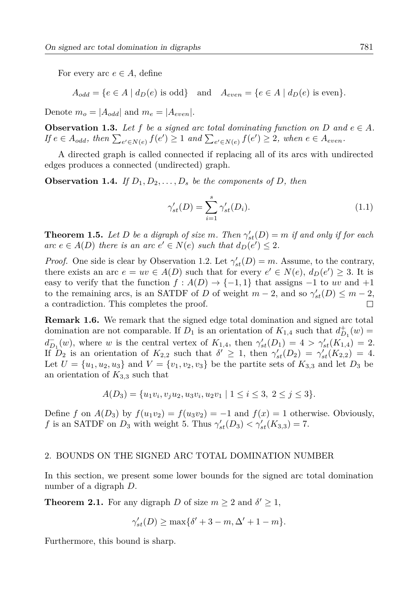For every arc  $e \in A$ , define

 $A_{odd} = \{e \in A \mid d_D(e) \text{ is odd}\}\$ and  $A_{even} = \{e \in A \mid d_D(e) \text{ is even}\}.$ 

Denote  $m_o = |A_{odd}|$  and  $m_e = |A_{even}|$ .

**Observation 1.3.** Let f be a signed arc total dominating function on D and  $e \in A$ . If  $e \in A_{odd}$ , then  $\sum_{e' \in N(e)} f(e') \geq 1$  and  $\sum_{e' \in N(e)} f(e') \geq 2$ , when  $e \in A_{even}$ .

A directed graph is called connected if replacing all of its arcs with undirected edges produces a connected (undirected) graph.

**Observation 1.4.** If  $D_1, D_2, \ldots, D_s$  be the components of D, then

$$
\gamma'_{st}(D) = \sum_{i=1}^{s} \gamma'_{st}(D_i). \tag{1.1}
$$

**Theorem 1.5.** Let D be a digraph of size m. Then  $\gamma'_{st}(D) = m$  if and only if for each arc  $e \in A(D)$  there is an arc  $e' \in N(e)$  such that  $d_D(e') \leq 2$ .

*Proof.* One side is clear by Observation 1.2. Let  $\gamma'_{st}(D) = m$ . Assume, to the contrary, there exists an arc  $e = uv \in A(D)$  such that for every  $e' \in N(e)$ ,  $d_D(e') \geq 3$ . It is easy to verify that the function  $f : A(D) \to \{-1,1\}$  that assigns  $-1$  to uv and  $+1$ to the remaining arcs, is an SATDF of D of weight  $m-2$ , and so  $\gamma'_{st}(D) \leq m-2$ , a contradiction. This completes the proof.  $\Box$ 

**Remark 1.6.** We remark that the signed edge total domination and signed arc total domination are not comparable. If  $D_1$  is an orientation of  $K_{1,4}$  such that  $d_{D_1}^+(w)$  $d_{D_1}^-(w)$ , where w is the central vertex of  $K_{1,4}$ , then  $\gamma'_{st}(D_1) = 4 > \gamma'_{st}(K_{1,4}) = 2$ . If  $D_2$  is an orientation of  $K_{2,2}$  such that  $\delta' \geq 1$ , then  $\gamma'_{st}(D_2) = \gamma'_{st}(K_{2,2}) = 4$ . Let  $U = \{u_1, u_2, u_3\}$  and  $V = \{v_1, v_2, v_3\}$  be the partite sets of  $K_{3,3}$  and let  $D_3$  be an orientation of  $K_{3,3}$  such that

$$
A(D_3) = \{u_1v_i, v_ju_2, u_3v_i, u_2v_1 \mid 1 \le i \le 3, 2 \le j \le 3\}.
$$

Define f on  $A(D_3)$  by  $f(u_1v_2) = f(u_3v_2) = -1$  and  $f(x) = 1$  otherwise. Obviously, f is an SATDF on  $D_3$  with weight 5. Thus  $\gamma'_{st}(D_3) < \gamma'_{st}(K_{3,3}) = 7$ .

## 2. BOUNDS ON THE SIGNED ARC TOTAL DOMINATION NUMBER

In this section, we present some lower bounds for the signed arc total domination number of a digraph  $D$ .

**Theorem 2.1.** For any digraph D of size  $m \geq 2$  and  $\delta' \geq 1$ ,

$$
\gamma'_{st}(D) \ge \max\{\delta' + 3 - m, \Delta' + 1 - m\}.
$$

Furthermore, this bound is sharp.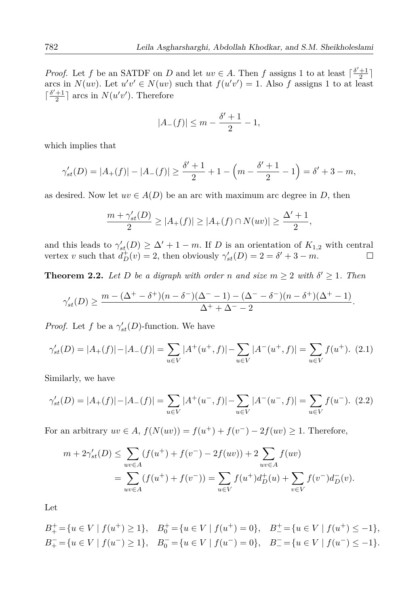*Proof.* Let f be an SATDF on D and let  $uv \in A$ . Then f assigns 1 to at least  $\lceil \frac{\delta' + 1}{2} \rceil$ arcs in  $N(uv)$ . Let  $u'v' \in N(uv)$  such that  $f(u'v') = 1$ . Also f assigns 1 to at least  $\lceil \frac{\delta'+1}{2} \rceil$  arcs in  $N(u'v')$ . Therefore

$$
|A_{-}(f)| \le m - \frac{\delta' + 1}{2} - 1,
$$

which implies that

$$
\gamma'_{st}(D) = |A_+(f)| - |A_-(f)| \ge \frac{\delta' + 1}{2} + 1 - \left(m - \frac{\delta' + 1}{2} - 1\right) = \delta' + 3 - m,
$$

as desired. Now let  $uv \in A(D)$  be an arc with maximum arc degree in D, then

$$
\frac{m + \gamma'_{st}(D)}{2} \ge |A_+(f)| \ge |A_+(f) \cap N(uv)| \ge \frac{\Delta' + 1}{2},
$$

and this leads to  $\gamma'_{st}(D) \geq \Delta' + 1 - m$ . If D is an orientation of  $K_{1,2}$  with central vertex v such that  $d_D^+(v) = 2$ , then obviously  $\gamma'_{st}(D) = 2 = \delta' + 3 - m$ .  $\Box$ 

**Theorem 2.2.** Let D be a digraph with order n and size  $m \geq 2$  with  $\delta' \geq 1$ . Then

$$
\gamma'_{st}(D) \ge \frac{m - (\Delta^+ - \delta^+)(n - \delta^-)(\Delta^- - 1) - (\Delta^- - \delta^-)(n - \delta^+)(\Delta^+ - 1)}{\Delta^+ + \Delta^- - 2}.
$$

*Proof.* Let f be a  $\gamma'_{st}(D)$ -function. We have

$$
\gamma'_{st}(D) = |A_+(f)| - |A_-(f)| = \sum_{u \in V} |A^+(u^+,f)| - \sum_{u \in V} |A^-(u^+,f)| = \sum_{u \in V} f(u^+). \tag{2.1}
$$

Similarly, we have

$$
\gamma'_{st}(D) = |A_+(f)| - |A_-(f)| = \sum_{u \in V} |A^+(u^-,f)| - \sum_{u \in V} |A^-(u^-,f)| = \sum_{u \in V} f(u^-). \tag{2.2}
$$

For an arbitrary  $uv \in A$ ,  $f(N(uv)) = f(u^+) + f(v^-) - 2f(uv) \ge 1$ . Therefore,

$$
m + 2\gamma'_{st}(D) \le \sum_{uv \in A} (f(u^+) + f(v^-) - 2f(uv)) + 2 \sum_{uv \in A} f(uv)
$$
  
= 
$$
\sum_{uv \in A} (f(u^+) + f(v^-)) = \sum_{u \in V} f(u^+) d_D^+(u) + \sum_{v \in V} f(v^-) d_D^-(v).
$$

Let

$$
B_{+}^{+} = \{ u \in V \mid f(u^{+}) \ge 1 \}, \quad B_{0}^{+} = \{ u \in V \mid f(u^{+}) = 0 \}, \quad B_{-}^{+} = \{ u \in V \mid f(u^{+}) \le -1 \},
$$
  

$$
B_{+}^{-} = \{ u \in V \mid f(u^{-}) \ge 1 \}, \quad B_{0}^{-} = \{ u \in V \mid f(u^{-}) = 0 \}, \quad B_{-}^{-} = \{ u \in V \mid f(u^{-}) \le -1 \}.
$$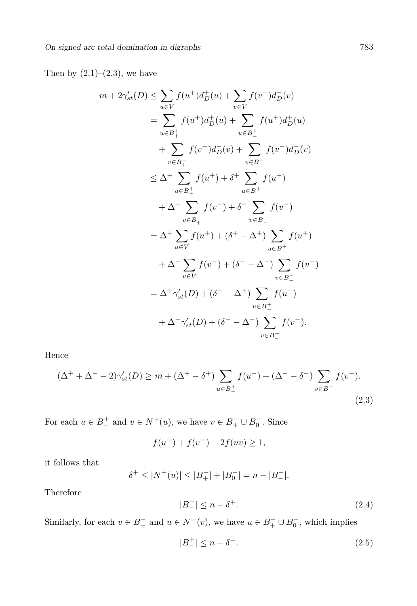Then by  $(2.1)–(2.3)$ , we have

 $\overline{m}$ 

$$
+ 2\gamma'_{st}(D) \leq \sum_{u \in V} f(u^+)d_D^+(u) + \sum_{v \in V} f(v^-)d_D^-(v)
$$
  
\n
$$
= \sum_{u \in B_+^+} f(u^+)d_D^+(u) + \sum_{u \in B_-^+} f(u^+)d_D^+(u)
$$
  
\n
$$
+ \sum_{v \in B_+^-} f(v^-)d_D^-(v) + \sum_{v \in B_-^-} f(v^-)d_D^-(v)
$$
  
\n
$$
\leq \Delta^+ \sum_{u \in B_+^+} f(u^+) + \delta^+ \sum_{u \in B_-^+} f(u^+)
$$
  
\n
$$
+ \Delta^- \sum_{v \in B_+^-} f(v^-) + \delta^- \sum_{v \in B_-^-} f(v^-)
$$
  
\n
$$
= \Delta^+ \sum_{u \in V} f(u^+) + (\delta^+ - \Delta^+) \sum_{u \in B_-^+} f(u^+)
$$
  
\n
$$
+ \Delta^- \sum_{v \in V} f(v^-) + (\delta^- - \Delta^-) \sum_{v \in B_-^-} f(v^-)
$$
  
\n
$$
= \Delta^+ \gamma'_{st}(D) + (\delta^+ - \Delta^+) \sum_{u \in B_-^+} f(u^+)
$$
  
\n
$$
+ \Delta^- \gamma'_{st}(D) + (\delta^- - \Delta^-) \sum_{v \in B_-^-} f(v^-).
$$

Hence

$$
(\Delta^{+} + \Delta^{-} - 2)\gamma'_{st}(D) \ge m + (\Delta^{+} - \delta^{+}) \sum_{u \in B_{-}^{+}} f(u^{+}) + (\Delta^{-} - \delta^{-}) \sum_{v \in B_{-}^{-}} f(v^{-}).
$$
\n(2.3)

For each  $u\in B_{-}^{+}$  and  $v\in N^{+}(u),$  we have  $v\in B_{+}^{-}\cup B_{0}^{-}.$  Since

$$
f(u^{+}) + f(v^{-}) - 2f(uv) \ge 1,
$$

it follows that

$$
\delta^+ \le |N^+(u)| \le |B_+^-| + |B_0^-| = n - |B_-^-|.
$$

Therefore

$$
|B_{-}^{-}| \leq n - \delta^{+}.\tag{2.4}
$$

Similarly, for each  $v\in B_{-}^{-}$  and  $u\in N^{-}(v),$  we have  $u\in B_{+}^{+}\cup B_{0}^{+},$  which implies

$$
|B_{-}^{+}| \le n - \delta^{-}.
$$
\n(2.5)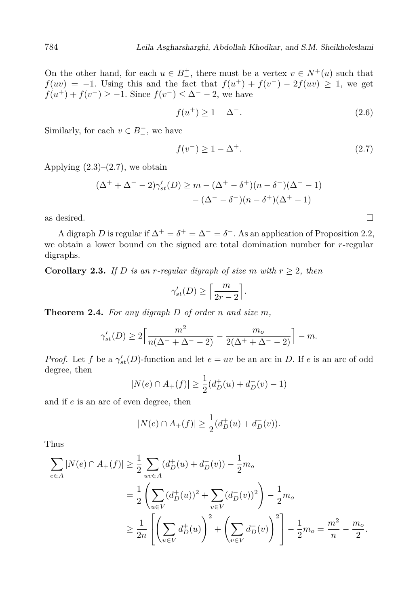On the other hand, for each  $u \in B_+^+$ , there must be a vertex  $v \in N^+(u)$  such that  $f(uv) = -1$ . Using this and the fact that  $f(u^{+}) + f(v^{-}) - 2f(uv) \geq 1$ , we get  $f(u^{+}) + f(v^{-}) \ge -1$ . Since  $f(v^{-}) \le \Delta^{-} - 2$ , we have

$$
f(u^+) \ge 1 - \Delta^-.
$$
\n<sup>(2.6)</sup>

Similarly, for each  $v \in B^-$ , we have

$$
f(v^-) \ge 1 - \Delta^+.
$$
\n<sup>(2.7)</sup>

 $\Box$ 

Applying  $(2.3)$ – $(2.7)$ , we obtain

$$
(\Delta^{+} + \Delta^{-} - 2)\gamma'_{st}(D) \ge m - (\Delta^{+} - \delta^{+})(n - \delta^{-})(\Delta^{-} - 1) - (\Delta^{-} - \delta^{-})(n - \delta^{+})(\Delta^{+} - 1)
$$

as desired.

A digraph D is regular if  $\Delta^+ = \delta^+ = \Delta^- = \delta^-$ . As an application of Proposition 2.2, we obtain a lower bound on the signed arc total domination number for  $r$ -regular digraphs.

**Corollary 2.3.** If D is an r-regular digraph of size m with  $r \geq 2$ , then

$$
\gamma'_{st}(D) \ge \left\lceil \frac{m}{2r-2} \right\rceil.
$$

**Theorem 2.4.** For any digraph  $D$  of order n and size m.

$$
\gamma'_{st}(D) \ge 2 \left[ \frac{m^2}{n(\Delta^+ + \Delta^- - 2)} - \frac{m_o}{2(\Delta^+ + \Delta^- - 2)} \right] - m
$$

*Proof.* Let f be a  $\gamma'_{st}(D)$ -function and let  $e = uv$  be an arc in D. If e is an arc of odd degree, then

$$
|N(e) \cap A_+(f)| \ge \frac{1}{2}(d_D^+(u) + d_D^-(v) - 1)
$$

and if  $e$  is an arc of even degree, then

$$
|N(e) \cap A_+(f)| \ge \frac{1}{2}(d_D^+(u) + d_D^-(v)).
$$

Thus

$$
\sum_{e \in A} |N(e) \cap A_{+}(f)| \geq \frac{1}{2} \sum_{uv \in A} (d_{D}^{+}(u) + d_{D}^{-}(v)) - \frac{1}{2}m_{o}
$$
  
=  $\frac{1}{2} \left( \sum_{u \in V} (d_{D}^{+}(u))^{2} + \sum_{v \in V} (d_{D}^{-}(v))^{2} \right) - \frac{1}{2}m_{o}$   
 $\geq \frac{1}{2n} \left[ \left( \sum_{u \in V} d_{D}^{+}(u) \right)^{2} + \left( \sum_{v \in V} d_{D}^{-}(v) \right)^{2} \right] - \frac{1}{2}m_{o} = \frac{m^{2}}{n} - \frac{m_{o}}{2}.$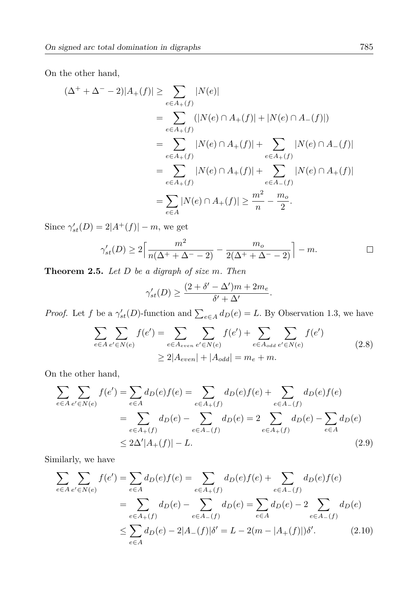On the other hand,

$$
(\Delta^{+} + \Delta^{-} - 2)|A_{+}(f)| \ge \sum_{e \in A_{+}(f)} |N(e)|
$$
  
= 
$$
\sum_{e \in A_{+}(f)} (|N(e) \cap A_{+}(f)| + |N(e) \cap A_{-}(f)|)
$$
  
= 
$$
\sum_{e \in A_{+}(f)} |N(e) \cap A_{+}(f)| + \sum_{e \in A_{+}(f)} |N(e) \cap A_{-}(f)|
$$
  
= 
$$
\sum_{e \in A_{+}(f)} |N(e) \cap A_{+}(f)| + \sum_{e \in A_{-}(f)} |N(e) \cap A_{+}(f)|
$$
  
= 
$$
\sum_{e \in A} |N(e) \cap A_{+}(f)| \ge \frac{m^{2}}{n} - \frac{m_{o}}{2}.
$$

Since  $\gamma'_{st}(D) = 2|A^+(f)| - m$ , we get

$$
\gamma'_{st}(D) \ge 2\left\lceil \frac{m^2}{n(\Delta^+ + \Delta^- - 2)} - \frac{m_o}{2(\Delta^+ + \Delta^- - 2)} \right\rceil - m.
$$

**Theorem 2.5.** Let  $D$  be a digraph of size  $m$ . Then

$$
\gamma'_{st}(D) \ge \frac{(2+\delta'-\Delta')m + 2m_e}{\delta' + \Delta'}.
$$

*Proof.* Let f be a  $\gamma'_{st}(D)$ -function and  $\sum_{e \in A} d_D(e) = L$ . By Observation 1.3, we have

$$
\sum_{e \in A} \sum_{e' \in N(e)} f(e') = \sum_{e \in A_{even}} \sum_{e' \in N(e)} f(e') + \sum_{e \in A_{odd}} \sum_{e' \in N(e)} f(e')
$$
\n
$$
\geq 2|A_{even}| + |A_{odd}| = m_e + m.
$$
\n(2.8)

On the other hand,

$$
\sum_{e \in A} \sum_{e' \in N(e)} f(e') = \sum_{e \in A} d_D(e) f(e) = \sum_{e \in A_+(f)} d_D(e) f(e) + \sum_{e \in A_-(f)} d_D(e) f(e)
$$

$$
= \sum_{e \in A_+(f)} d_D(e) - \sum_{e \in A_-(f)} d_D(e) = 2 \sum_{e \in A_+(f)} d_D(e) - \sum_{e \in A} d_D(e)
$$

$$
\le 2\Delta'|A_+(f)| - L.
$$
(2.9)

Similarly, we have

$$
\sum_{e \in A} \sum_{e' \in N(e)} f(e') = \sum_{e \in A} d_D(e) f(e) = \sum_{e \in A_+(f)} d_D(e) f(e) + \sum_{e \in A_-(f)} d_D(e) f(e)
$$

$$
= \sum_{e \in A_+(f)} d_D(e) - \sum_{e \in A_-(f)} d_D(e) = \sum_{e \in A} d_D(e) - 2 \sum_{e \in A_-(f)} d_D(e)
$$

$$
\leq \sum_{e \in A} d_D(e) - 2|A_-(f)|\delta' = L - 2(m - |A_+(f)|)\delta'. \tag{2.10}
$$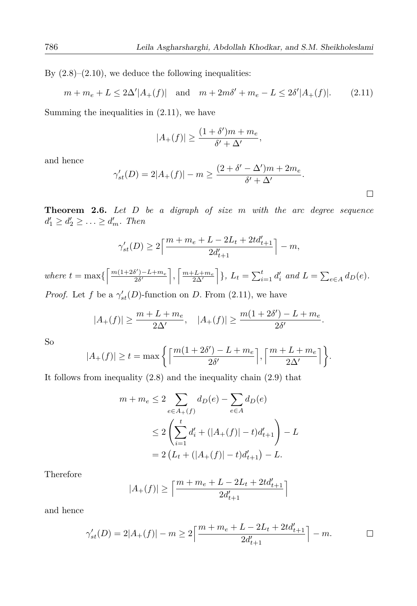By  $(2.8)$ – $(2.10)$ , we deduce the following inequalities:

$$
m + m_e + L \le 2\Delta' |A_+(f)|
$$
 and  $m + 2m\delta' + m_e - L \le 2\delta' |A_+(f)|$ . (2.11)

Summing the inequalities in  $(2.11)$ , we have

$$
|A_+(f)| \ge \frac{(1+\delta')m + m_e}{\delta' + \Delta'},
$$

and hence

$$
\gamma'_{st}(D) = 2|A_{+}(f)| - m \ge \frac{(2 + \delta' - \Delta')m + 2m_e}{\delta' + \Delta'}.
$$

 $\Box$ 

**Theorem 2.6.** Let  $D$  be a digraph of size  $m$  with the arc degree sequence  $d'_1 \geq d'_2 \geq \ldots \geq d'_m$ . Then

$$
\gamma'_{st}(D) \ge 2\left\lceil \frac{m+m_e+L-2L_t+2td'_{t+1}}{2d'_{t+1}} \right\rceil - m,
$$

where  $t = \max\left\{ \left\lceil \frac{m(1+2\delta') - L + m_e}{2\delta'}\right\rceil, \left\lceil \frac{m+L+m_e}{2\Delta'}\right\rceil \right\}, L_t = \sum_{i=1}^t d_i'$  and  $L = \sum_{e \in A} d_D(e)$ .

*Proof.* Let f be a  $\gamma'_{st}(D)$ -function on D. From (2.11), we have

$$
|A_+(f)| \ge \frac{m+L+m_e}{2\Delta'}, \quad |A_+(f)| \ge \frac{m(1+2\delta')-L+m_e}{2\delta'}.
$$

S<sub>o</sub>

$$
|A_{+}(f)| \geq t = \max\left\{ \left\lceil \frac{m(1+2\delta') - L + m_e}{2\delta'} \right\rceil, \left\lceil \frac{m + L + m_e}{2\Delta'} \right\rceil \right\}.
$$

It follows from inequality  $(2.8)$  and the inequality chain  $(2.9)$  that

$$
m + m_e \le 2 \sum_{e \in A_+(f)} d_D(e) - \sum_{e \in A} d_D(e)
$$
  

$$
\le 2 \left( \sum_{i=1}^t d'_i + (|A_+(f)| - t) d'_{t+1} \right) - L
$$
  

$$
= 2 \left( L_t + (|A_+(f)| - t) d'_{t+1} \right) - L.
$$

Therefore

$$
|A_+(f)| \geq \Big \lceil \frac{m+m_e+L-2L_t+2td'_{t+1}}{2d'_{t+1}} \Big \rceil
$$

and hence

$$
\gamma'_{st}(D) = 2|A_+(f)| - m \ge 2\left\lceil \frac{m + m_e + L - 2L_t + 2td'_{t+1}}{2d'_{t+1}} \right\rceil - m.
$$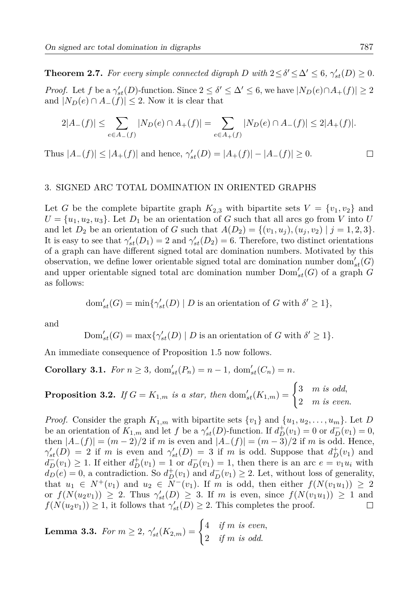**Theorem 2.7.** For every simple connected digraph D with  $2 \le \delta' \le \Delta' \le 6$ ,  $\gamma'_{st}(D) \ge 0$ . *Proof.* Let f be a  $\gamma'_{st}(D)$ -function. Since  $2 \leq \delta' \leq \Delta' \leq 6$ , we have  $|N_D(e) \cap A_+(f)| \geq 2$ and  $|N_D(e) \cap A_-(f)| \leq 2$ . Now it is clear that

$$
2|A_{-}(f)| \leq \sum_{e \in A_{-}(f)} |N_{D}(e) \cap A_{+}(f)| = \sum_{e \in A_{+}(f)} |N_{D}(e) \cap A_{-}(f)| \leq 2|A_{+}(f)|.
$$

Thus  $|A_-(f)| \leq |A_+(f)|$  and hence,  $\gamma'_{st}(D) = |A_+(f)| - |A_-(f)| \geq 0$ .

#### 3. SIGNED ARC TOTAL DOMINATION IN ORIENTED GRAPHS

Let G be the complete bipartite graph  $K_{2,3}$  with bipartite sets  $V = \{v_1, v_2\}$  and  $U = \{u_1, u_2, u_3\}$ . Let  $D_1$  be an orientation of G such that all arcs go from V into U and let  $D_2$  be an orientation of G such that  $A(D_2) = \{(v_1, u_1), (u_1, v_2) | j = 1, 2, 3\}.$ It is easy to see that  $\gamma'_{st}(D_1) = 2$  and  $\gamma'_{st}(D_2) = 6$ . Therefore, two distinct orientations of a graph can have different signed total arc domination numbers. Motivated by this observation, we define lower orientable signed total arc domination number dom'<sub>et</sub>(G) and upper orientable signed total arc domination number  $Dom'_{st}(G)$  of a graph G as follows:

$$
\text{dom}_{st}'(G) = \min \{ \gamma_{st}'(D) \mid D \text{ is an orientation of } G \text{ with } \delta' \ge 1 \},
$$

and

$$
Dom'_{st}(G) = max\{\gamma'_{st}(D) | D \text{ is an orientation of } G \text{ with } \delta' \geq 1\}.
$$

An immediate consequence of Proposition 1.5 now follows.

**Corollary 3.1.** For  $n \geq 3$ ,  $dom'_{st}(P_n) = n - 1$ ,  $dom'_{st}(C_n) = n$ .

**Proposition 3.2.** If  $G = K_{1,m}$  is a star, then  $dom'_{st}(K_{1,m}) = \begin{cases} 3 & m \text{ is odd,} \\ 2 & m \text{ is even.} \end{cases}$ 

*Proof.* Consider the graph  $K_{1,m}$  with bipartite sets  $\{v_1\}$  and  $\{u_1, u_2, \ldots, u_m\}$ . Let D be an orientation of  $K_{1,m}$  and let f be a  $\gamma'_{st}(D)$ -function. If  $d^+_{D}(v_1) = 0$  or  $d^-_{D}(v_1) = 0$ , then  $|A_{-}(f)| = (m-2)/2$  if m is even and  $|A_{-}(f)| = (m-3)/2$  if m is odd. Hence,  $\gamma'_{st}(D) = 2$  if m is even and  $\gamma'_{st}(D) = 3$  if m is odd. Suppose that  $d^{\dagger}_D(v_1)$  and  $d_D^-(v_1) \geq 1$ . If either  $d_D^+(v_1) = 1$  or  $d_D^-(v_1) = 1$ , then there is an arc  $e = v_1 u_i$  with  $d_D(e) = 0$ , a contradiction. So  $d^+_D(v_1)$  and  $d^-_D(v_1) \geq 2$ . Let, without loss of generality, that  $u_1 \in N^+(v_1)$  and  $u_2 \in N^-(v_1)$ . If m is odd, then either  $f(N(v_1u_1)) \geq 2$ or  $f(N(u_2v_1)) \geq 2$ . Thus  $\gamma'_{st}(D) \geq 3$ . If m is even, since  $f(N(v_1u_1)) \geq 1$  and  $f(N(u_2v_1)) \geq 1$ , it follows that  $\gamma'_{st}(D) \geq 2$ . This completes the proof.  $\Box$ 

**Lemma 3.3.** For  $m \geq 2$ ,  $\gamma'_{st}(K_{2,m}) = \begin{cases} 4 & \text{if } m \text{ is even,} \\ 2 & \text{if } m \text{ is odd.} \end{cases}$ 

 $\Box$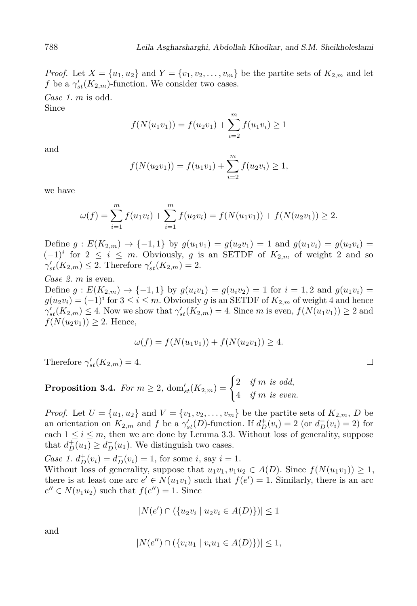*Proof.* Let  $X = \{u_1, u_2\}$  and  $Y = \{v_1, v_2, \dots, v_m\}$  be the partite sets of  $K_{2,m}$  and let f be a  $\gamma'_{st}(K_{2,m})$ -function. We consider two cases.

Case 1.  $m$  is odd.

Since

$$
f(N(u_1v_1)) = f(u_2v_1) + \sum_{i=2}^{m} f(u_1v_i) \ge 1
$$

and

$$
f(N(u_2v_1)) = f(u_1v_1) + \sum_{i=2}^{m} f(u_2v_i) \ge 1,
$$

we have

$$
\omega(f) = \sum_{i=1}^{m} f(u_1v_i) + \sum_{i=1}^{m} f(u_2v_i) = f(N(u_1v_1)) + f(N(u_2v_1)) \ge 2.
$$

Define  $g: E(K_{2,m}) \to \{-1,1\}$  by  $g(u_1v_1) = g(u_2v_1) = 1$  and  $g(u_1v_i) = g(u_2v_i) =$  $(-1)^i$  for  $2 \leq i \leq m$ . Obviously, g is an SETDF of  $K_{2,m}$  of weight 2 and so  $\gamma'_{st}(K_{2,m}) \leq 2$ . Therefore  $\gamma'_{st}(K_{2,m}) = 2$ .

Case 2,  $m$  is even.

Define  $g: E(K_{2,m}) \to \{-1,1\}$  by  $g(u_i v_1) = g(u_i v_2) = 1$  for  $i = 1,2$  and  $g(u_1 v_i) =$  $g(u_2v_i) = (-1)^i$  for  $3 \leq i \leq m$ . Obviously g is an SETDF of  $K_{2,m}$  of weight 4 and hence  $\gamma'_{st}(K_{2,m}) \leq 4$ . Now we show that  $\gamma'_{st}(K_{2,m}) = 4$ . Since m is even,  $f(N(u_1v_1)) \geq 2$  and  $f(N(u_2v_1)) \geq 2$ . Hence,

$$
\omega(f) = f(N(u_1v_1)) + f(N(u_2v_1)) \ge 4.
$$

Therefore  $\gamma'_{st}(K_{2,m})=4$ .

**Proposition 3.4.** For  $m \geq 2$ ,  $dom'_{st}(K_{2,m}) = \begin{cases} 2 & \text{if } m \text{ is odd,} \\ 4 & \text{if } m \text{ is even.} \end{cases}$ 

*Proof.* Let  $U = \{u_1, u_2\}$  and  $V = \{v_1, v_2, \dots, v_m\}$  be the partite sets of  $K_{2,m}$ , D be an orientation on  $K_{2,m}$  and f be a  $\gamma'_{st}(D)$ -function. If  $d^+_D(v_i) = 2$  (or  $d^-_D(v_i) = 2$ ) for each  $1 \leq i \leq m$ , then we are done by Lemma 3.3. Without loss of generality, suppose that  $d_D^+(u_1) \geq d_D^-(u_1)$ . We distinguish two cases.

*Case 1.*  $d_D^+(v_i) = d_D^-(v_i) = 1$ , for some *i*, say *i* = 1.

Without loss of generality, suppose that  $u_1v_1, v_1u_2 \in A(D)$ . Since  $f(N(u_1v_1)) \geq 1$ , there is at least one arc  $e' \in N(u_1v_1)$  such that  $f(e') = 1$ . Similarly, there is an arc  $e'' \in N(v_1u_2)$  such that  $f(e'') = 1$ . Since

$$
|N(e') \cap (\{u_2v_i \mid u_2v_i \in A(D)\})| \le 1
$$

and

$$
|N(e'') \cap (\{v_i u_1 \mid v_i u_1 \in A(D)\})| \le 1.
$$

 $\Box$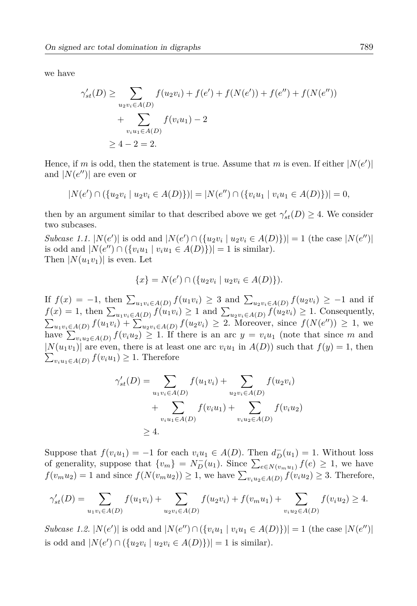we have

$$
\gamma'_{st}(D) \ge \sum_{u_2v_i \in A(D)} f(u_2v_i) + f(e') + f(N(e')) + f(e'') + f(N(e'')) + \sum_{v_iu_1 \in A(D)} f(v_iu_1) - 2
$$
  
 
$$
\ge 4 - 2 = 2.
$$

Hence, if m is odd, then the statement is true. Assume that m is even. If either  $|N(e')|$ and  $|N(e'')|$  are even or

$$
|N(e') \cap (\{u_2v_i \mid u_2v_i \in A(D)\})| = |N(e'') \cap (\{v_iu_1 \mid v_iu_1 \in A(D)\})| = 0,
$$

then by an argument similar to that described above we get  $\gamma'_{st}(D) \geq 4$ . We consider two subcases.

Subcase 1.1.  $|N(e')|$  is odd and  $|N(e') \cap (\{u_2v_i \mid u_2v_i \in A(D)\})| = 1$  (the case  $|N(e'')|$ ) is odd and  $|N(e'') \cap (\{v_i u_1 \mid v_i u_1 \in A(D)\})| = 1$  is similar). Then  $|N(u_1v_1)|$  is even. Let

$$
\{x\} = N(e') \cap (\{u_2v_i \mid u_2v_i \in A(D)\}).
$$

If  $f(x) = -1$ , then  $\sum_{u_1v_i \in A(D)} f(u_1v_i) \geq 3$  and  $\sum_{u_2v_i \in A(D)} f(u_2v_i) \geq -1$  and if  $f(x) = 1$ , then  $\sum_{u_1v_i \in A(D)} f(u_1v_i) \ge 1$  and  $\sum_{u_2v_i \in A(D)} f(u_2v_i) \ge 1$ . Consequently,<br>  $\sum_{u_1v_i \in A(D)} f(u_1v_i) + \sum_{u_2v_i \in A(D)} f(u_2v_i) \ge 2$ . Moreover, since  $f(N(e'')) \ge 1$ , we have  $\sum_{v_i}$   $\sum_{i=1}$   $f(v_iu_2) \geq 1$ . If there is an arc  $y = v_iu_1$  (note that since m and  $|N(u_1v_1)|$  are even, there is at least one arc  $v_iu_1$  in  $A(D)$  such that  $f(y) = 1$ , then  $\sum_{v_iu_1\in A(D)} f(v_iu_1) \geq 1$ . Therefore

$$
\gamma'_{st}(D) = \sum_{u_1v_i \in A(D)} f(u_1v_i) + \sum_{u_2v_i \in A(D)} f(u_2v_i) + \sum_{v_iu_1 \in A(D)} f(v_iu_1) + \sum_{v_iu_2 \in A(D)} f(v_iu_2) \ge 4.
$$

Suppose that  $f(v_i u_1) = -1$  for each  $v_i u_1 \in A(D)$ . Then  $d_D^-(u_1) = 1$ . Without loss of generality, suppose that  $\{v_m\} = N_D^-(u_1)$ . Since  $\sum_{e \in N(v_m u_1)} f(e) \geq 1$ , we have  $f(v_m u_2) = 1$  and since  $f(N(v_m u_2)) \geq 1$ , we have  $\sum_{v_i u_2 \in A(D)} \overline{f(v_i u_2)} \geq 3$ . Therefore,

$$
\gamma'_{st}(D) = \sum_{u_1v_i \in A(D)} f(u_1v_i) + \sum_{u_2v_i \in A(D)} f(u_2v_i) + f(v_mu_1) + \sum_{v_iu_2 \in A(D)} f(v_iu_2) \ge 4.
$$

Subcase 1.2.  $|N(e')|$  is odd and  $|N(e'') \cap (\{v_i u_1 \mid v_i u_i \in A(D)\})| = 1$  (the case  $|N(e'')|$ ) is odd and  $|N(e') \cap (\{u_2v_i \mid u_2v_i \in A(D)\})| = 1$  is similar).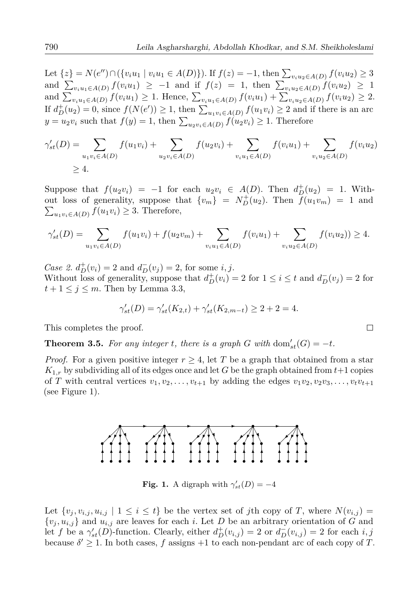Let  $\{z\} = N(e'') \cap (\{v_iu_1 \mid v_iu_1 \in A(D)\})$ . If  $f(z) = -1$ , then  $\sum_{v_iu_2 \in A(D)} f(v_iu_2) \ge 3$ <br>and  $\sum_{v_iu_1 \in A(D)} f(v_iu_1) \ge -1$  and if  $f(z) = 1$ , then  $\sum_{v_iu_2 \in A(D)} f(v_iu_2) \ge 1$ and  $\sum_{v_iu_1\in A(D)} f(v_iu_1) \geq 1$ . Hence,  $\sum_{v_iu_1\in A(D)} f(v_iu_1) + \sum_{v_iu_2\in A(D)} f(v_iu_2) \geq 2$ . If  $d_D^+(u_2)=0$ , since  $f(N(e'))\geq 1$ , then  $\sum_{u_1v_i\in A(D)} f(u_1v_i)\geq 2$  and if there is an arc  $y = u_2v_i$  such that  $f(y) = 1$ , then  $\sum_{u_2v_i \in A(D)} f(u_2v_i) \geq 1$ . Therefore

$$
\gamma'_{st}(D) = \sum_{u_1v_i \in A(D)} f(u_1v_i) + \sum_{u_2v_i \in A(D)} f(u_2v_i) + \sum_{v_iu_1 \in A(D)} f(v_iu_1) + \sum_{v_iu_2 \in A(D)} f(v_iu_2)
$$
  
\n $\geq 4.$ 

Suppose that  $f(u_2v_i) = -1$  for each  $u_2v_i \in A(D)$ . Then  $d_D^+(u_2) = 1$ . Without loss of generality, suppose that  $\{v_m\} = N_D^+(u_2)$ . Then  $\overline{f}(u_1v_m) = 1$  and  $\sum_{u_1v_i\in A(D)} f(u_1v_i) \geq 3.$  Therefore,

$$
\gamma'_{st}(D) = \sum_{u_1v_i \in A(D)} f(u_1v_i) + f(u_2v_m) + \sum_{v_iu_1 \in A(D)} f(v_iu_1) + \sum_{v_iu_2 \in A(D)} f(v_iu_2) \ge 4.
$$

Case 2.  $d_D^+(v_i) = 2$  and  $d_D^-(v_j) = 2$ , for some *i*, *j*. Without loss of generality, suppose that  $d_D^+(v_i) = 2$  for  $1 \le i \le t$  and  $d_D^-(v_i) = 2$  for  $t+1 \leq j \leq m$ . Then by Lemma 3.3,

$$
\gamma'_{st}(D) = \gamma'_{st}(K_{2,t}) + \gamma'_{st}(K_{2,m-t}) \ge 2 + 2 = 4.
$$

This completes the proof.

**Theorem 3.5.** For any integer t, there is a graph G with  $dom'_{st}(G) = -t$ .

*Proof.* For a given positive integer  $r \geq 4$ , let T be a graph that obtained from a star  $K_{1,r}$  by subdividing all of its edges once and let G be the graph obtained from  $t+1$  copies of T with central vertices  $v_1, v_2, \ldots, v_{t+1}$  by adding the edges  $v_1v_2, v_2v_3, \ldots, v_tv_{t+1}$ (see Figure 1).



**Fig. 1.** A digraph with  $\gamma'_{st}(D) = -4$ 

Let  $\{v_j, v_{i,j}, u_{i,j} \mid 1 \leq i \leq t\}$  be the vertex set of jth copy of T, where  $N(v_{i,j}) =$  $\{v_i, u_{i,j}\}\$  and  $u_{i,j}$  are leaves for each i. Let D be an arbitrary orientation of G and let f be a  $\gamma'_{st}(D)$ -function. Clearly, either  $d^+_D(v_{i,j}) = 2$  or  $d^-_D(v_{i,j}) = 2$  for each i, j because  $\delta' \geq 1$ . In both cases, f assigns +1 to each non-pendant arc of each copy of T.

$$
\qquad \qquad \Box
$$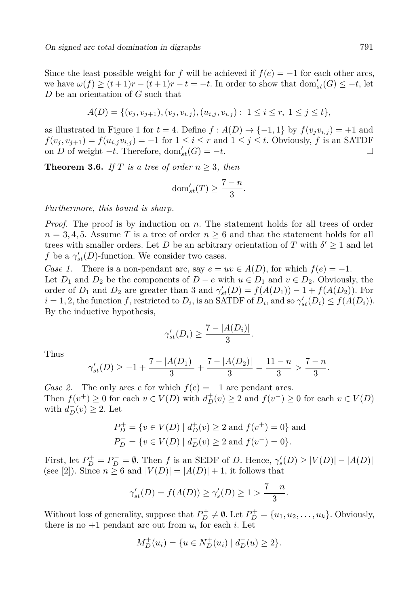Since the least possible weight for f will be achieved if  $f(e) = -1$  for each other arcs, we have  $\omega(f) \ge (t+1)r - (t+1)r - t = -t$ . In order to show that  $dom'_{st}(G) \le -t$ , let  $D$  be an orientation of  $G$  such that

$$
A(D) = \{ (v_j, v_{j+1}), (v_j, v_{i,j}), (u_{i,j}, v_{i,j}) : 1 \le i \le r, 1 \le j \le t \},\
$$

as illustrated in Figure 1 for  $t = 4$ . Define  $f : A(D) \rightarrow \{-1, 1\}$  by  $f(v_j v_{i,j}) = +1$  and  $f(v_j, v_{j+1}) = f(u_{i,j}v_{i,j}) = -1$  for  $1 \le i \le r$  and  $1 \le j \le t$ . Obviously, f is an SATDF on D of weight  $-t$ . Therefore, dom'<sub>st</sub> $(G) = -t$ .  $\Box$ 

**Theorem 3.6.** If T is a tree of order  $n \geq 3$ , then

$$
dom'_{st}(T) \ge \frac{7-n}{3}.
$$

Furthermore, this bound is sharp.

*Proof.* The proof is by induction on n. The statement holds for all trees of order  $n = 3, 4, 5$ . Assume T is a tree of order  $n \geq 6$  and that the statement holds for all trees with smaller orders. Let D be an arbitrary orientation of T with  $\delta' \geq 1$  and let f be a  $\gamma'_{st}(D)$ -function. We consider two cases.

Case 1. There is a non-pendant arc, say  $e = uv \in A(D)$ , for which  $f(e) = -1$ . Let  $D_1$  and  $D_2$  be the components of  $D - e$  with  $u \in D_1$  and  $v \in D_2$ . Obviously, the order of  $D_1$  and  $D_2$  are greater than 3 and  $\gamma'_{st}(D) = f(A(D_1)) - 1 + f(A(D_2))$ . For  $i = 1, 2$ , the function f, restricted to  $D_i$ , is an SATDF of  $D_i$ , and so  $\gamma'_{st}(D_i) \leq f(A(D_i))$ . By the inductive hypothesis,

$$
\gamma'_{st}(D_i) \ge \frac{7-|A(D_i)|}{3}.
$$

Thus

$$
\gamma'_{st}(D) \ge -1 + \frac{7 - |A(D_1)|}{3} + \frac{7 - |A(D_2)|}{3} = \frac{11 - n}{3} > \frac{7 - n}{3}.
$$

Case 2. The only arcs e for which  $f(e) = -1$  are pendant arcs. Then  $f(v^+) \ge 0$  for each  $v \in V(D)$  with  $d^+_D(v) \ge 2$  and  $f(v^-) \ge 0$  for each  $v \in V(D)$ with  $d_{D}^{-}(v) \geq 2$ . Let

$$
P_D^+ = \{ v \in V(D) \mid d_D^+(v) \ge 2 \text{ and } f(v^+) = 0 \} \text{ and}
$$
  

$$
P_D^- = \{ v \in V(D) \mid d_D^-(v) \ge 2 \text{ and } f(v^-) = 0 \}.
$$

First, let  $P_D^+ = P_D^- = \emptyset$ . Then f is an SEDF of D. Hence,  $\gamma_s'(D) \geq |V(D)| - |A(D)|$ (see [2]). Since  $n \geq 6$  and  $|V(D)| = |A(D)| + 1$ , it follows that

$$
\gamma'_{st}(D) = f(A(D)) \ge \gamma'_{s}(D) \ge 1 > \frac{7-n}{3}
$$

Without loss of generality, suppose that  $P_D^+ \neq \emptyset$ . Let  $P_D^+ = \{u_1, u_2, \dots, u_k\}$ . Obviously, there is no  $+1$  pendant arc out from  $u_i$  for each i. Let

$$
M_D^+(u_i) = \{ u \in N_D^+(u_i) \mid d_D^-(u) \ge 2 \}.
$$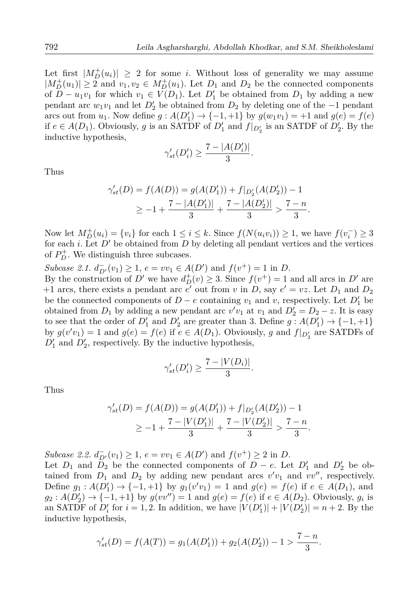Let first  $|M_D^+(u_i)| \geq 2$  for some *i*. Without loss of generality we may assume  $|M_D^+(u_1)| \geq 2$  and  $v_1, v_2 \in M_D^+(u_1)$ . Let  $D_1$  and  $D_2$  be the connected components of  $D - u_1v_1$  for which  $v_1 \in V(D_1)$ . Let  $D'_1$  be obtained from  $D_1$  by adding a new pendant arc  $w_1v_1$  and let  $D'_2$  be obtained from  $D_2$  by deleting one of the  $-1$  pendant arcs out from  $u_1$ . Now define  $g: A(D'_1) \to \{-1, +1\}$  by  $g(w_1v_1) = +1$  and  $g(e) = f(e)$ if  $e \in A(D_1)$ . Obviously, g is an SATDF of  $D'_1$  and  $f|_{D'_2}$  is an SATDF of  $D'_2$ . By the inductive hypothesis,

$$
\gamma'_{st}(D'_i) \ge \frac{7 - |A(D'_i)|}{3}.
$$

Thus

$$
\gamma'_{st}(D) = f(A(D)) = g(A(D'_1)) + f|_{D'_2}(A(D'_2)) - 1
$$
  
\n
$$
\geq -1 + \frac{7 - |A(D'_1)|}{3} + \frac{7 - |A(D'_2)|}{3} > \frac{7 - n}{3}.
$$

Now let  $M_D^+(u_i) = \{v_i\}$  for each  $1 \leq i \leq k$ . Since  $f(N(u_i v_i)) \geq 1$ , we have  $f(v_i^-) \geq 3$ for each *i*. Let  $D'$  be obtained from  $D$  by deleting all pendant vertices and the vertices of  $P_D^+$ . We distinguish three subcases.

Subcase 2.1.  $d_{D'}^-(v_1) \geq 1$ ,  $e = v v_1 \in A(D')$  and  $f(v^+) = 1$  in D.

By the construction of D' we have  $d^+_D(v) \geq 3$ . Since  $f(v^+) = 1$  and all arcs in D' are +1 arcs, there exists a pendant arc  $e'$  out from v in D, say  $e' = vz$ . Let  $D_1$  and  $D_2$ be the connected components of  $D-e$  containing  $v_1$  and v, respectively. Let  $D'_1$  be obtained from  $D_1$  by adding a new pendant arc  $v'v_1$  at  $v_1$  and  $D'_2 = D_2 - z$ . It is easy to see that the order of  $D'_1$  and  $D'_2$  are greater than 3. Define  $g: A(D'_1) \to \{-1, +1\}$ by  $g(v'v_1) = 1$  and  $g(e) = f(e)$  if  $e \in A(D_1)$ . Obviously, g and  $f|_{D'_2}$  are SATDFs of  $D'_1$  and  $D'_2$ , respectively. By the inductive hypothesis,

$$
\gamma'_{st}(D'_i) \geq \frac{7-|V(D_i)|}{3}.
$$

Thus

$$
\gamma'_{st}(D) = f(A(D)) = g(A(D'_1)) + f|_{D'_2}(A(D'_2)) - 1
$$
  
\n
$$
\geq -1 + \frac{7 - |V(D'_1)|}{3} + \frac{7 - |V(D'_2)|}{3} > \frac{7 - n}{3}.
$$

Subcase 2.2.  $d_{D'}^-(v_1) \geq 1$ ,  $e = v v_1 \in A(D')$  and  $f(v^+) \geq 2$  in D.

Let  $D_1$  and  $D_2$  be the connected components of  $D - e$ . Let  $D'_1$  and  $D'_2$  be obtained from  $D_1$  and  $D_2$  by adding new pendant arcs  $v'v_1$  and  $vv''$ , respectively. Define  $g_1: A(D'_1) \to \{-1, +1\}$  by  $g_1(v'v_1) = 1$  and  $g(e) = f(e)$  if  $e \in A(D_1)$ , and  $g_2: A(D'_2) \rightarrow \{-1, +1\}$  by  $g(vv'') = 1$  and  $g(e) = f(e)$  if  $e \in A(D_2)$ . Obviously,  $g_i$  is an SATDF of  $D'_i$  for  $i = 1, 2$ . In addition, we have  $|V(D'_1)| + |V(D'_2)| = n + 2$ . By the inductive hypothesis,

$$
\gamma'_{st}(D) = f(A(T)) = g_1(A(D'_1)) + g_2(A(D'_2)) - 1 > \frac{7-n}{3}
$$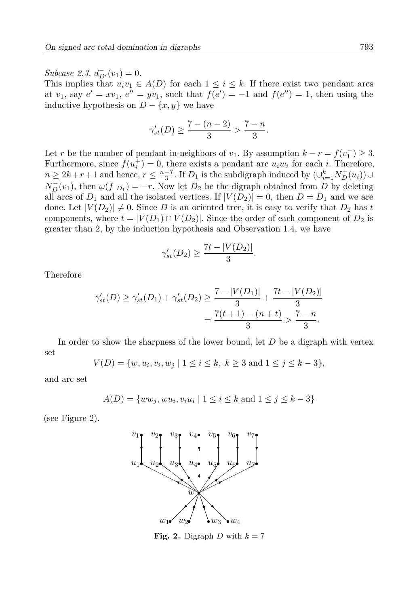Subcase 2.3.  $d_{D'}^-(v_1)=0$ .

This implies that  $u_i v_1 \in A(D)$  for each  $1 \leq i \leq k$ . If there exist two pendant arcs at  $v_1$ , say  $e' = xv_1$ ,  $e'' = yv_1$ , such that  $f(e') = -1$  and  $f(e'') = 1$ , then using the inductive hypothesis on  $D - \{x, y\}$  we have

$$
\gamma'_{st}(D) \ge \frac{7 - (n - 2)}{3} > \frac{7 - n}{3}
$$

Let r be the number of pendant in-neighbors of  $v_1$ . By assumption  $k - r = f(v_1^-) \geq 3$ . Furthermore, since  $f(u_i^+) = 0$ , there exists a pendant arc  $u_i w_i$  for each i. Therefore,  $n \geq 2k+r+1$  and hence,  $r \leq \frac{n-7}{3}$ . If  $D_1$  is the subdigraph induced by  $(\bigcup_{i=1}^{k} N_{D}^{+}(u_i)) \cup$  $N_{D}^{-}(v_1)$ , then  $\omega(f|_{D_1}) = -r$ . Now let  $D_2$  be the digraph obtained from D by deleting all arcs of  $D_1$  and all the isolated vertices. If  $|V(D_2)| = 0$ , then  $D = D_1$  and we are done. Let  $|V(D_2)| \neq 0$ . Since D is an oriented tree, it is easy to verify that  $D_2$  has t components, where  $t = |V(D_1) \cap V(D_2)|$ . Since the order of each component of  $D_2$  is greater than 2, by the induction hypothesis and Observation 1.4, we have

$$
\gamma'_{st}(D_2) \ge \frac{7t - |V(D_2)|}{3}
$$

Therefore

$$
\gamma'_{st}(D) \ge \gamma'_{st}(D_1) + \gamma'_{st}(D_2) \ge \frac{7 - |V(D_1)|}{3} + \frac{7t - |V(D_2)|}{3}
$$
  
= 
$$
\frac{7(t+1) - (n+t)}{3} > \frac{7-n}{3}.
$$

In order to show the sharpness of the lower bound, let  $D$  be a digraph with vertex set

$$
V(D) = \{w, u_i, v_i, w_j \mid 1 \le i \le k, k \ge 3 \text{ and } 1 \le j \le k - 3\},\
$$

and arc set

$$
A(D) = \{ww_j, w u_i, v_i u_i \mid 1 \le i \le k \text{ and } 1 \le j \le k - 3\}
$$

(see Figure 2).



Fig. 2. Digraph D with  $k = 7$